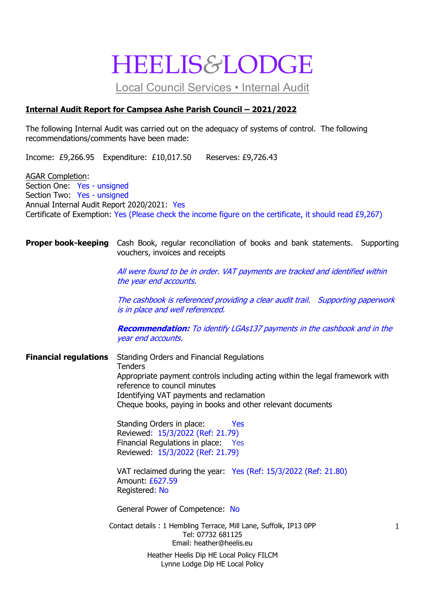# HEELIS*&*LODGE

Local Council Services • Internal Audit

## **Internal Audit Report for Campsea Ashe Parish Council – 2021/2022**

The following Internal Audit was carried out on the adequacy of systems of control. The following recommendations/comments have been made:

Income: £9,266.95 Expenditure: £10,017.50 Reserves: £9,726.43

AGAR Completion: Section One: Yes - unsigned Section Two: Yes - unsigned Annual Internal Audit Report 2020/2021: Yes Certificate of Exemption: Yes (Please check the income figure on the certificate, it should read £9,267)

### **Proper book-keeping** Cash Book, regular reconciliation of books and bank statements. Supporting vouchers, invoices and receipts

All were found to be in order. VAT payments are tracked and identified within the year end accounts.

The cashbook is referenced providing a clear audit trail. Supporting paperwork is in place and well referenced.

**Recommendation:** To identify LGAs137 payments in the cashbook and in the year end accounts.

**Financial regulations** Standing Orders and Financial Regulations **Tenders** Appropriate payment controls including acting within the legal framework with reference to council minutes Identifying VAT payments and reclamation Cheque books, paying in books and other relevant documents

> Standing Orders in place: Yes Reviewed: 15/3/2022 (Ref: 21.79) Financial Regulations in place: Yes Reviewed: 15/3/2022 (Ref: 21.79)

VAT reclaimed during the year: Yes (Ref: 15/3/2022 (Ref: 21.80) Amount: £627.59 Registered: No

General Power of Competence: No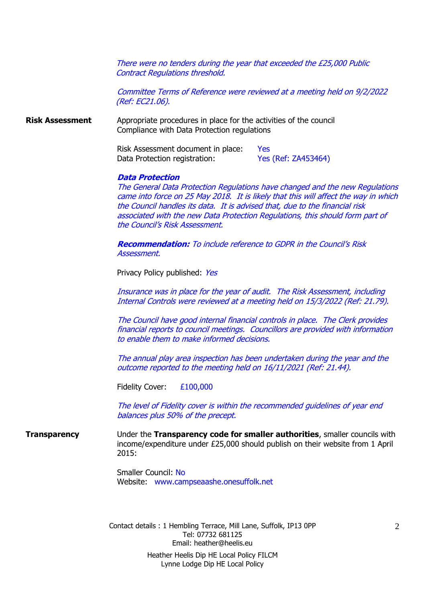There were no tenders during the year that exceeded the £25,000 Public Contract Regulations threshold.

Committee Terms of Reference were reviewed at a meeting held on 9/2/2022 (Ref: EC21.06).

**Risk Assessment** Appropriate procedures in place for the activities of the council Compliance with Data Protection regulations

> Risk Assessment document in place: Yes Data Protection registration: Yes (Ref: ZA453464)

#### **Data Protection**

The General Data Protection Regulations have changed and the new Regulations came into force on 25 May 2018. It is likely that this will affect the way in which the Council handles its data. It is advised that, due to the financial risk associated with the new Data Protection Regulations, this should form part of the Council's Risk Assessment.

**Recommendation:** To include reference to GDPR in the Council's Risk Assessment.

Privacy Policy published: Yes

Insurance was in place for the year of audit. The Risk Assessment, including Internal Controls were reviewed at a meeting held on 15/3/2022 (Ref: 21.79).

The Council have good internal financial controls in place. The Clerk provides financial reports to council meetings. Councillors are provided with information to enable them to make informed decisions.

The annual play area inspection has been undertaken during the year and the outcome reported to the meeting held on 16/11/2021 (Ref: 21.44).

Fidelity Cover: £100,000

The level of Fidelity cover is within the recommended guidelines of year end balances plus 50% of the precept.

**Transparency** Under the **Transparency code for smaller authorities**, smaller councils with income/expenditure under £25,000 should publish on their website from 1 April 2015:

> Smaller Council: No Website: www.campseaashe.onesuffolk.net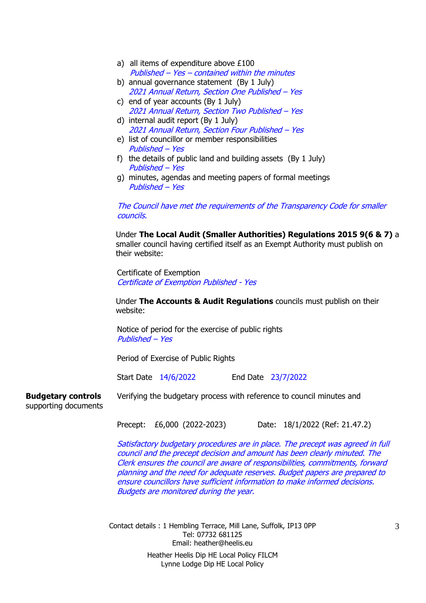|                                                   | a) all items of expenditure above $£100$                                                                                                                                                                                                     |
|---------------------------------------------------|----------------------------------------------------------------------------------------------------------------------------------------------------------------------------------------------------------------------------------------------|
|                                                   | Published - Yes - contained within the minutes                                                                                                                                                                                               |
|                                                   | b) annual governance statement (By 1 July)                                                                                                                                                                                                   |
|                                                   | 2021 Annual Return, Section One Published - Yes                                                                                                                                                                                              |
|                                                   | c) end of year accounts (By 1 July)                                                                                                                                                                                                          |
|                                                   | 2021 Annual Return, Section Two Published - Yes                                                                                                                                                                                              |
|                                                   | d) internal audit report (By 1 July)                                                                                                                                                                                                         |
|                                                   | 2021 Annual Return, Section Four Published - Yes                                                                                                                                                                                             |
|                                                   | e) list of councillor or member responsibilities                                                                                                                                                                                             |
|                                                   | Published - Yes                                                                                                                                                                                                                              |
|                                                   | f) the details of public land and building assets (By 1 July)<br>Published – Yes                                                                                                                                                             |
|                                                   | g) minutes, agendas and meeting papers of formal meetings<br>Published - Yes                                                                                                                                                                 |
|                                                   | The Council have met the requirements of the Transparency Code for smaller<br>councils.                                                                                                                                                      |
|                                                   | Under The Local Audit (Smaller Authorities) Regulations 2015 9(6 & 7) a<br>smaller council having certified itself as an Exempt Authority must publish on<br>their website:                                                                  |
|                                                   | Certificate of Exemption<br><b>Certificate of Exemption Published - Yes</b>                                                                                                                                                                  |
|                                                   | Under The Accounts & Audit Regulations councils must publish on their<br>website:                                                                                                                                                            |
|                                                   | Notice of period for the exercise of public rights<br>Published – Yes                                                                                                                                                                        |
|                                                   | Period of Exercise of Public Rights                                                                                                                                                                                                          |
|                                                   | Start Date 14/6/2022<br>End Date 23/7/2022                                                                                                                                                                                                   |
| <b>Budgetary controls</b><br>supporting documents | Verifying the budgetary process with reference to council minutes and                                                                                                                                                                        |
|                                                   | Precept: £6,000 (2022-2023)<br>Date: 18/1/2022 (Ref: 21.47.2)                                                                                                                                                                                |
|                                                   | Satisfactory budgetary procedures are in place. The precept was agreed in full<br>council and the precept decision and amount has been clearly minuted. The<br>Clerk ensures the council are aware of responsibilities, commitments, forward |

Clerk ensures the council are aware of responsibilities, commitments, forward planning and the need for adequate reserves. Budget papers are prepared to ensure councillors have sufficient information to make informed decisions. Budgets are monitored during the year.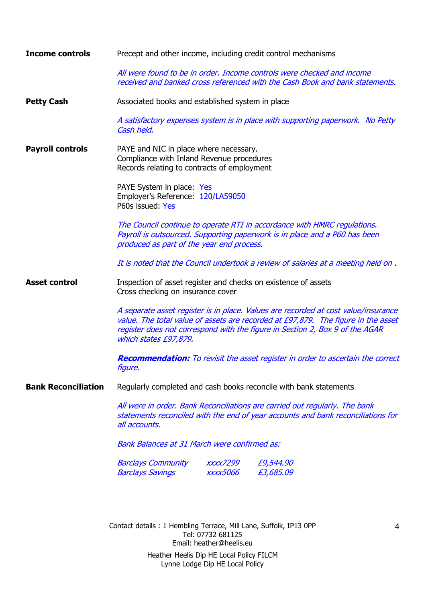| <b>Income controls</b>     | Precept and other income, including credit control mechanisms                                                                                                                                                                                                                    |
|----------------------------|----------------------------------------------------------------------------------------------------------------------------------------------------------------------------------------------------------------------------------------------------------------------------------|
|                            | All were found to be in order. Income controls were checked and income<br>received and banked cross referenced with the Cash Book and bank statements.                                                                                                                           |
| <b>Petty Cash</b>          | Associated books and established system in place                                                                                                                                                                                                                                 |
|                            | A satisfactory expenses system is in place with supporting paperwork. No Petty<br>Cash held.                                                                                                                                                                                     |
| <b>Payroll controls</b>    | PAYE and NIC in place where necessary.<br>Compliance with Inland Revenue procedures<br>Records relating to contracts of employment                                                                                                                                               |
|                            | PAYE System in place: Yes<br>Employer's Reference: 120/LA59050<br>P60s issued: Yes                                                                                                                                                                                               |
|                            | The Council continue to operate RTI in accordance with HMRC regulations.<br>Payroll is outsourced. Supporting paperwork is in place and a P60 has been<br>produced as part of the year end process.                                                                              |
|                            | It is noted that the Council undertook a review of salaries at a meeting held on.                                                                                                                                                                                                |
| <b>Asset control</b>       | Inspection of asset register and checks on existence of assets<br>Cross checking on insurance cover                                                                                                                                                                              |
|                            | A separate asset register is in place. Values are recorded at cost value/insurance<br>value. The total value of assets are recorded at £97,879. The figure in the asset<br>register does not correspond with the figure in Section 2, Box 9 of the AGAR<br>which states £97,879. |
|                            | <b>Recommendation:</b> To revisit the asset register in order to ascertain the correct<br><i>figure.</i>                                                                                                                                                                         |
| <b>Bank Reconciliation</b> | Regularly completed and cash books reconcile with bank statements                                                                                                                                                                                                                |
|                            | All were in order. Bank Reconciliations are carried out regularly. The bank<br>statements reconciled with the end of year accounts and bank reconciliations for<br>all accounts.                                                                                                 |
|                            | <b>Bank Balances at 31 March were confirmed as:</b>                                                                                                                                                                                                                              |
|                            | <b>Barclays Community</b><br><b>XXXX7299</b><br>£9,544.90<br>£3,685.09<br><b>Barclays Savings</b><br><i><b>XXXX5066</b></i>                                                                                                                                                      |
|                            |                                                                                                                                                                                                                                                                                  |
|                            | Contact details: 1 Hembling Terrace, Mill Lane, Suffolk, IP13 OPP<br>4<br>Tel: 07732 681125<br>Email: heather@heelis.eu                                                                                                                                                          |
|                            | Heather Heelis Dip HE Local Policy FILCM<br>Lynne Lodge Dip HE Local Policy                                                                                                                                                                                                      |